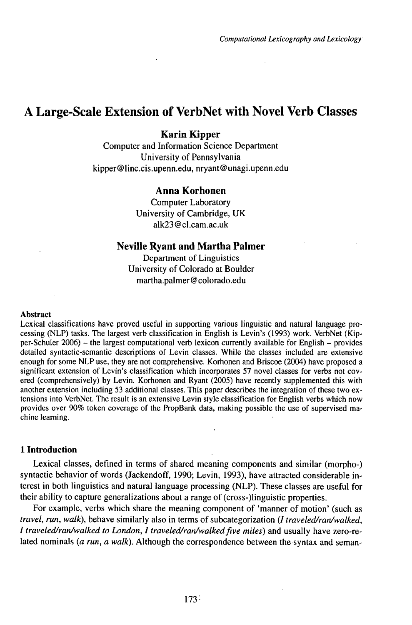# A Large-Scale Extension of VerbNet with Novel Verb Classes

# **Karin Kipper**

Computer and Information Science Department University of Pennsylvania kipper@linc.cis.upenn.edu, nryant@unagi.upenn.edu

# **Anna Korhonen**

Computer Laboratory University of Cambridge, UK alk23@cl.cam.ac.uk

### **Neville Ryant and Martha Palmer**

Department of Linguistics University of Colorado at Boulder martha.palmer@colorado.edu

#### Abstract

Lexical classifications have proved useful in supporting various linguistic and natural language processing (NLP) tasks. The largest verb classification in English is Levin's (1993) work. VerbNet (Kipper-Schuler 2006) - the largest computational verb lexicon currently available for English - provides detailed syntactic-semantic descriptions of Levin classes. While the classes included are extensive enough for some NLP use, they are not comprehensive. Korhonen and Briscoe (2004) have proposed a significant extension of Levin's classification which incorporates 57 novel classes for verbs not covered (comprehensively) by Levin. Korhonen and Ryant (2005) have recently supplemented this with another extension including 53 additional classes. This paper describes the integration of these two extensions into VerbNet. The result is an extensive Levin style classification for English verbs which now provides over 90% token coverage of the PropBank data, making possible the use of supervised machine learning.

#### **1 Introduction**

Lexical classes, defined in terms of shared meaning components and similar (morpho-) syntactic behavior of words (Jackendoff, 1990; Levin, 1993), have attracted considerable interest in both linguistics and natural language processing (NLP). These classes are useful for their ability to capture generalizations about a range of(cross-)linguistic properties.

For example, verbs which share the meaning component of 'manner of motion' (such as *travel, run, walk),* behave similarly also in terms of subcategorization (/ *traveled/ran/walked, <sup>1</sup> traveled/ran/walked to London, <sup>1</sup> traveled/ran/walkedfive miles)* and usually have zero-related nominals (a run, a walk). Although the correspondence between the syntax and seman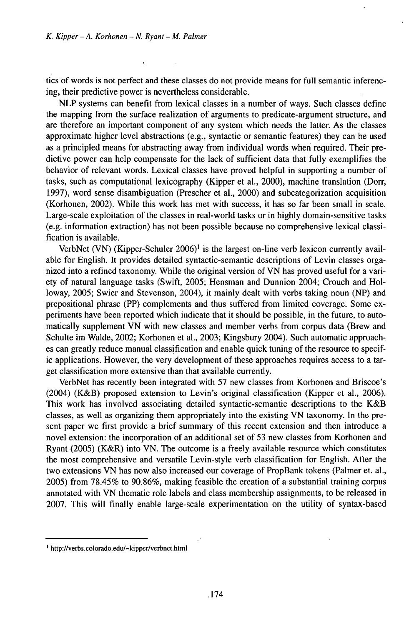$\overline{a}$ 

tics of words is not perfect and these classes do not provide means for full semantic inferencing, their predictive power is nevertheless considerable.

NLP systems can benefit from lexical classes in a number of ways. Such classes define the mapping from the surface realization of arguments to predicate-argument structure, and are therefore an important component of any system which needs the latter. As the classes approximate higher level abstractions (e.g., syntactic or semantic features) they can be used as a principled means for abstracting away from individual words when required. Their predictive power can help compensate for the lack of sufficient data that fully exemplifies the behavior of relevant words. Lexical classes have proved helpful in supporting a number of tasks, such as computational lexicography (Kipper et al., 2000), machine translation (Dorr, 1997), word sense disambiguation (Prescher et al., 2000) and subcategorization acquisition (Korhonen, 2002). While this work has met with success, it has so far been small in scale. Large-scale exploitation of the classes in real-world tasks or in highly domain-sensitive tasks (e.g. information extraction) has not been possible because no comprehensive lexical classification is available.

VerbNet (VN) (Kipper-Schuler  $2006$ <sup> $1$ </sup> is the largest on-line verb lexicon currently available for English. It provides detailed syntactic-semantic descriptions of Levin classes organized into a refined taxonomy. While the original version of VN has proved useful for a variety of natural language tasks (Swift, 2005; Hensman and Dunnion 2004; Crouch and Holloway, 2005; Swier and Stevenson, 2004), it mainly dealt with verbs taking noun (NP) and prepositional phrase (PP) complements and thus suffered from limited coverage. Some experiments have been reported which indicate that it should be possible, in the future, to automatically supplement VN with new classes and member verbs from corpus data (Brew and Schulte im Walde, 2002; Korhonen et al., 2003; Kingsbury 2004). Such automatic approaches can greatly reduce manual classification and enable quick tuning of the resource to specific applications. However, the very development of these approaches requires access to a target classification more extensive than that available currently.

VerbNet has recently been integrated with 57 new classes from Korhonen and Briscoe's (2004) (K&B) proposed extension to Levin's original classification (Kipper et al., 2006). This work has involved associating detailed syntactic-semantic descriptions to the K&B classes, as well as organizing them appropriately into the existing VN taxonomy. In the present paper we first provide a brief summary of this recent extension and then introduce a novel extension: the incorporation of an additional set of 53 new classes from Korhonen and Ryant (2005) (K&R) into VN. The outcome is a freely available resource which constitutes the most comprehensive and versatile Levin-style verb classification for English. After the two extensions VN has now also increased our coverage of PropBank tokens (Palmer et. al., 2005) from 78.45% to 90.86%, making feasible the creation of a substantial training corpus annotated with VN thematic role labels and class membership assignments, to be released in 2007. This will finally enable large-scale experimentation on the utility of syntax-based

<sup>1</sup> http://verbs.colorado.edu/~kipper/verbnet.html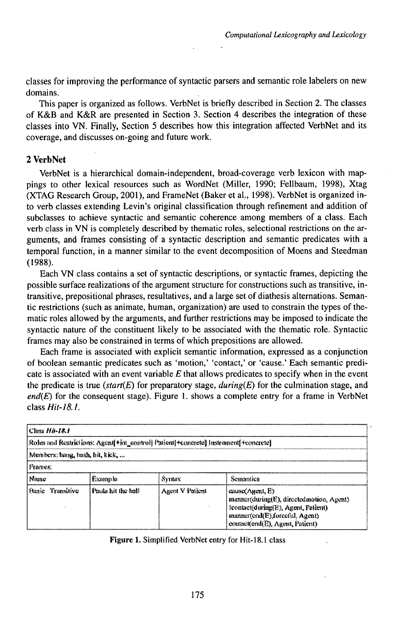classes for improving the performance of syntactic parsers and semantic role labelers on new domains.

This paper is organized as follows. VerbNet is briefly described in Section 2. The classes of K&B and K&R are presented in Section 3. Section 4 describes the integration of these classes into VN. Finally, Section 5 describes how this integration affected VerbNet and its coverage, and discusses on-going and future work.

# **2 VerbNet**

VerbNet is a hierarchical domain-independent, broad-coverage verb lexicon with mappings to other lexical resources such as WordNet (Miller, 1990; Fellbaum, 1998), Xtag (XTAG Research Group, 2001), and FrameNet (Baker et al., 1998). VerbNet is organized into verb classes extending Levin's original classification through refinement and addition of subclasses to achieve syntactic and semantic coherence among members of a class. Each verb class in VN is completely described by thematic roles, selectional restrictions on the arguments, and frames consisting of a syntactic description and semantic predicates with a temporal function, in a manner similar to the event decomposition of Moens and Steedman (1988).

Each VN class contains a set of syntactic descriptions, or syntactic frames, depicting the possible surface realizations of the argument structure for constructions such as transitive, intransitive, prepositional phrases, resultatives, and a large set of diathesis alternations. Semantic restrictions (such as animate, human, organization) are used to constrain the types of thematic roles allowed by the arguments, and further restrictions may be imposed to indicate the syntactic nature of the constituent likely to be associated with the thematic role. Syntactic frames may also be constrained in terms of which prepositions are allowed.

Each frame is associated with explicit semantic information, expressed as a conjunction of boolean semantic predicates such as 'motion,' 'contact,' or 'cause.' Each semantic predicate is associated with an event variable *E* that allows predicates to specify when in the event the predicate is true *(start* $(E)$ ) for preparatory stage, *during* $(E)$  for the culmination stage, and  $end(E)$  for the consequent stage). Figure 1. shows a complete entry for a frame in VerbNet *c\assHit-18.1.*

| <b>Class Hit-18.1</b>                                                                |                    |                 |                                                                                                                                                                             |  |  |
|--------------------------------------------------------------------------------------|--------------------|-----------------|-----------------------------------------------------------------------------------------------------------------------------------------------------------------------------|--|--|
| Roles and Restrictions: Agent[*int_control] Patient[#concrete] Instriment[#concrete] |                    |                 |                                                                                                                                                                             |  |  |
| Members: hang, hash, hit, kick,                                                      |                    |                 |                                                                                                                                                                             |  |  |
| Frames:                                                                              |                    |                 |                                                                                                                                                                             |  |  |
| Name                                                                                 | Example            | Syntax          | Semantics                                                                                                                                                                   |  |  |
| <b>Basic</b><br>Transitive                                                           | Paula hit the ball | Agent V Patient | cause (Agent, E)<br>manner(during(E), directed motion, Agent)<br>leontact(during(E), Agent, Patient).<br>manner(end(E),forceful, Agent)<br>contactfend(E), Arrent, Patient) |  |  |

**Figure 1.** Simplified VerbNet entry for Hit-18.1 class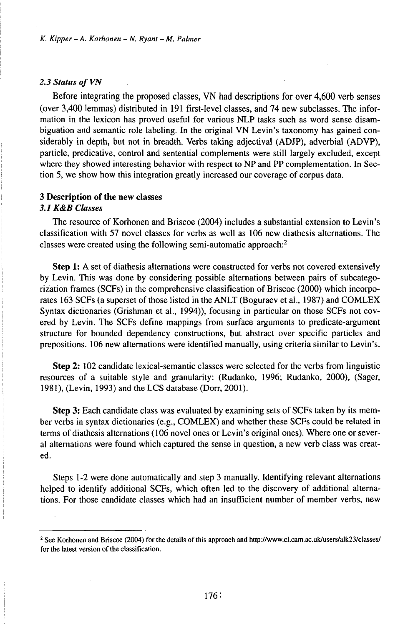#### 2.3 Status of VN

Before integrating the proposed classes, VN had descriptions for over 4,600 verb senses (over 3,400 lemmas) distributed in 191 first-level classes, and 74 new subclasses. The information in the lexicon has proved useful for various NLP tasks such as word sense disambiguation and semantic role labeling. In the original VN Levin's taxonomy has gained considerably in depth, but not in breadth. Verbs taking adjectival (ADJP), adverbial (ADVP), particle, predicative, control and sentential complements were still largely excluded, except where they showed interesting behavior with respect to NP and PP complementation. In Section 5, we show how this integration greatly increased our coverage of corpus data.

#### **3 Description of the new classes**

### *3.1 K&B CUisses*

The resource of Korhonen and Briscoe (2004) includes a substantial extension to Levin's classification with 57 novel classes for verbs as well as 106 new diathesis alternations. The classes were created using the following semi-automatic approach:<sup>2</sup>

**Step 1:** A set of diathesis alternations were constructed for verbs not covered extensively by Levin. This was done by considering possible alternations between pairs of subcategorization frames (SCFs) in the comprehensive classification of Briscoe (2000) which incorporates 163 SCFs (a superset of those listed in the ANLT (Boguraev et al., 1987) and COMLEX Syntax dictionaries (Grishman et al., 1994)), focusing in particular on those SCFs not covered by Levin. The SCFs define mappings from surface arguments to predicate-argument structure for bounded dependency constructions, but abstract over specific particles and prepositions. 106 new alternations were identified manually, using criteria similar to Levin's.

**Step 2:** 102 candidate lexical-semantic classes were selected for the verbs from linguistic resources of a suitable style and granularity: (Rudanko, 1996; Rudanko, 2000), (Sager, 1981), (Levin, 1993) and the LCS database (Dorr, 2001).

**Step 3:** Each candidate class was evaluated by examining sets of SCFs taken by its member verbs in syntax dictionaries (e.g., COMLEX) and whether these SCFs could be related in terms of diathesis alternations (106 novel ones or Levin's original ones). Where one or several alternations were found which captured the sense in question, a new verb class was created.

Steps 1-2 were done automatically and step 3 manually. Identifying relevant alternations helped to identify additional SCFs, which often led to the discovery of additional alternations. For those candidate classes which had an insufficient number of member verbs, new

<sup>&</sup>lt;sup>2</sup> See Korhonen and Briscoe (2004) for the details of this approach and http://www.cl.cam.ac.uk/users/alk23/classes/ for the latest version of the classification.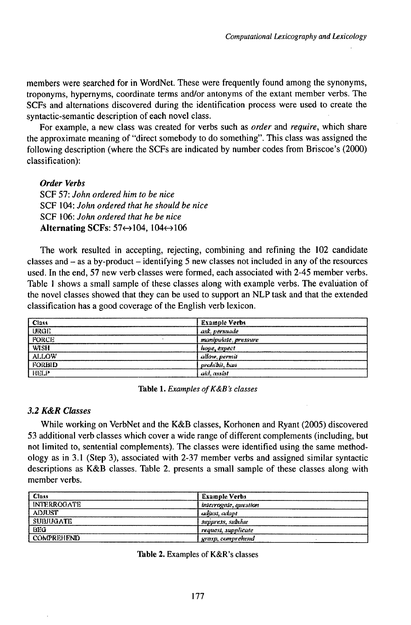members were searched for in WordNet. These were frequently found among the synonyms, troponyms, hypernyms, coordinate terms and/or antonyms of the extant member verbs. The SCFs and alternations discovered during the identification process were used to create the syntactic-semantic description of each novel class.

For example, a new class was created for verbs such as *order* and *require,* which share the approximate meaning of "direct somebody to do something". This class was assigned the following description (where the SCFs are indicated by number codes from Briscoe's (2000) classification):

*Order Verbs*

SCF 57: *John ordered him to be nice* SCF 104: *John ordered that he should be nice* SCF 106: *John ordered that he be nice* **Alternating SCFs: 57←104, 104←106** 

The work resulted in accepting, rejecting, combining and refining the 102 candidate classes and  $-$  as a by-product  $-$  identifying 5 new classes not included in any of the resources used. In the end, 57 new verb classes were formed, each associated with 2-45 member verbs. Table <sup>1</sup> shows a small sample of these classes along with example verbs. The evaluation of the novel classes showed that they can be used to support an NLP task and that the extended classification has a good coverage of the English verb lexicon.

| Class        | <b>Example Verbs</b> |
|--------------|----------------------|
| <b>URGE</b>  | ask, personide       |
| <b>FORCE</b> | manipukte, pressure  |
| <b>WISH</b>  | hope, expect         |
| <b>ALLOW</b> | allow, permit        |
| FORBID       | prohibit, ban        |
| HELP         | aid, assist          |

**Table 1.** *Examples ofK&B's classes*

# *3.2 K&R ••••••*

While working on VerbNet and the K&B classes, Korhonen and Ryant (2005) discovered 53 additional verb classes which cover a wide range of different complements (including, but not limited to, sentential complements). The classes were identified using the same methodology as in 3.1 (Step 3), associated with 2-37 member verbs and assigned similar syntactic descriptions as K&B classes. Table 2. presents a small sample of these classes along with member verbs.

| Class              | <b>Example Verbs</b>  |
|--------------------|-----------------------|
| <b>INTERROGATE</b> | interrogate, question |
| <b>ADJUST</b>      | aditist, adapt        |
| <b>SUBJUGATE</b>   | suppress, subdue      |
| BEG                | request, supplicate   |
| <b>COMPREHEND</b>  | grasp, comprehend     |

**Table 2.** Examples of K&R's classes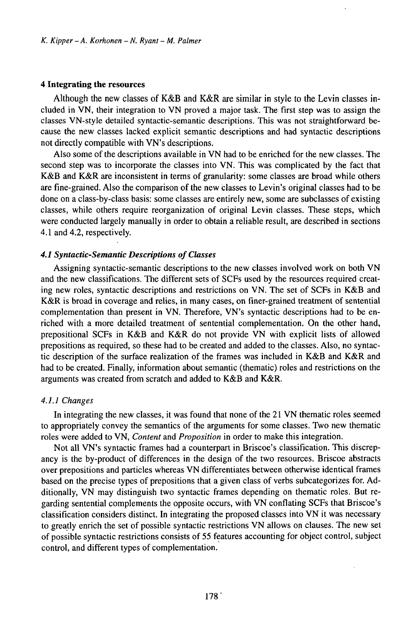### **4 Integrating the resources**

Although the new classes of K&B and K&R are similar in style to the Levin classes included in VN, their integration to VN proved a major task. The first step was to assign the classes VN-style detailed syntactic-semantic descriptions. This was not straightforward because the new classes lacked explicit semantic descriptions and had syntactic descriptions not directly compatible with VN's descriptions.

Also some of the descriptions available in VN had to be enriched for the new classes. The second step was to incorporate the classes into VN. This was complicated by the fact that K&B and K&R are inconsistent in terms of granularity: some classes are broad while others are fine-grained. Also the comparison of the new classes to Levin's original classes had to be done on a class-by-class basis: some classes are entirely new, some are subclasses of existing classes, while others require reorganization of original Levin classes. These steps, which were conducted largely manually in order to obtain a reliable result, are described in sections 4.1 and 4.2, respectively.

#### *4.1 Syntactic-Semantic Descriptions ofCkisses*

Assigning syntactic-semantic descriptions to the new classes involved work on both VN and the new classifications. The different sets of SCFs used by the resources required creating new roles, syntactic descriptions and restrictions on VN. The set of SCFs in K&B and K&R is broad in coverage and relies, in many cases, on finer-grained treatment of sentential complementation than present in VN. Therefore, VN's syntactic descriptions had to be enriched with a more detailed treatment of sentential complementation. On the other hand, prepositional SCFs in K&B and K&R do not provide VN with explicit lists of allowed prepositions as required, so these had to be created and added to the classes. Also, no syntactic description of the surface realization of the frames was included in K&B and K&R and had to be created. Finally, information about semantic (thematic) roles and restrictions on the arguments was created from scratch and added to K&B and K&R.

#### *4.1.1 Changes*

In integrating the new classes, it was found that none of the 21 VN thematic roles seemed to appropriately convey the semantics of the arguments for some classes. Two new thematic roles were added to VN, *Content* and *Proposition* in order to make this integration.

Not all VN's syntactic frames had a counterpart in Briscoe's classification. This discrepancy is the by-product of differences in the design of the two resources. Briscoe abstracts over prepositions and particles whereas VN differentiates between otherwise identical frames based on the precise types of prepositions that a given class of verbs subcategorizes for. Additionally, VN may distinguish two syntactic frames depending on thematic roles. But regarding sentential complements the opposite occurs, with VN conflating SCFs that Briscoe's classification considers distinct. In integrating the proposed classes into VN it was necessary to greatly enrich the set of possible syntactic restrictions VN allows on clauses. The new set of possible syntactic restrictions consists of 55 features accounting for object control, subject control, and different types of complementation.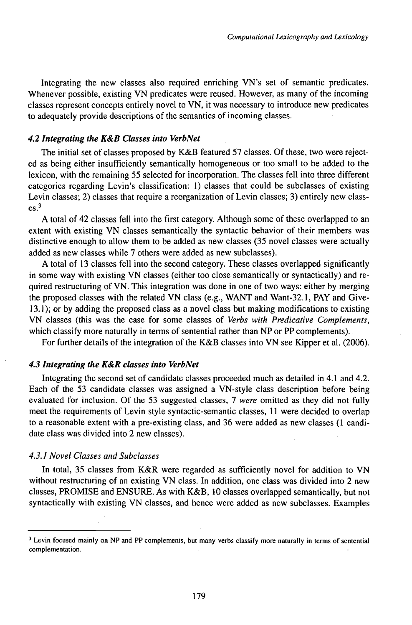Integrating the new classes also required enriching VN's set of semantic predicates. Whenever possible, existing VN predicates were reused. However, as many of the incoming classes represent concepts entirely novel to VN, it was necessary to introduce new predicates to adequately provide descriptions of the semantics of incoming classes.

### *4.2 Integrating the K&B CUisses into VerbNet*

The initial set of classes proposed by  $K&B$  featured 57 classes. Of these, two were rejected as being either insufficiently semantically homogeneous or too small to be added to the lexicon, with the remaining 55 selected for incorporation. The classes fell into three different categories regarding Levin's classification: 1) classes that could be subclasses of existing Levin classes; 2) classes that require a reorganization of Levin classes; 3) entirely new class $es.<sup>3</sup>$ 

A total of 42 classes fell into the first category. Although some of these overlapped to an extent with existing VN classes semantically the syntactic behavior of their members was distinctive enough to allow them to be added as new classes (35 novel classes were actually added as new classes while 7 others were added as new subclasses).

A total of 13 classes fell into the second category. These classes overlapped significantly in some way with existing VN classes (either too close semantically or syntactically) and required restructuring ofVN. This integration was done in one oftwo ways: either by merging the proposed classes with the related VN class (e.g., WANT and Want-32.1, PAY and Give-13.1); or by adding the proposed class as a novel class but making modifications to existing VN classes (this was the case for some classes of *Verbs with Predicative Complements,* which classify more naturally in terms of sentential rather than  $NP$  or  $PP$  complements)...

For further details of the integration of the K&B classes into VN see Kipper et al. (2006).

### *4.3 Integrating the K&R classes into VerbNet*

Integrating the second set of candidate classes proceeded much as detailed in 4.1 and 4.2. Each of the 53 candidate classes was assigned a VN-style class description before being evaluated for inclusion. Of the 53 suggested classes, 7 *were* omitted as they did not fully meet the requirements of Levin style syntactic-semantic classes, <sup>11</sup> were decided to overlap to a reasonable extent with a pre-existing class, and  $36$  were added as new classes (1 candidate class was divided into 2 new classes).

### *4.3.1 Novel Classes and Subclasses*

In total, 35 classes from K&R were regarded as sufficiently novel for addition to VN without restructuring of an existing VN class. In addition, one class was divided into 2 new classes, PROMISE and ENSURE. As with K&B, 10 classes overlapped semantically, but not syntactically with existing VN classes, and hence were added as new subclasses. Examples

<sup>&</sup>lt;sup>3</sup> Levin focused mainly on NP and PP complements, but many verbs classify more naturally in terms of sentential complementation.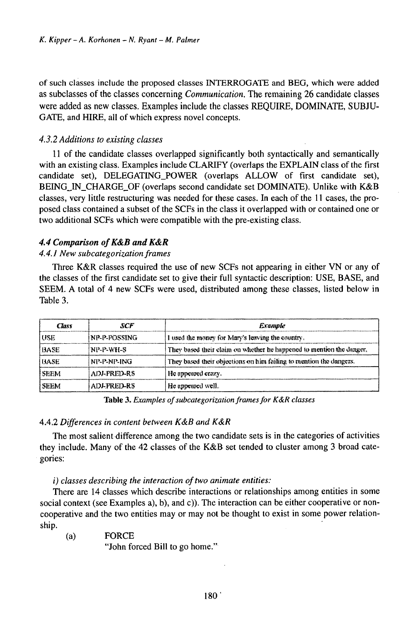of such classes include the proposed classes INTERROGATE and BEG, which were added as subclasses of the classes concerning *Communication.* The remaining 26 candidate classes were added as new classes. Examples include the classes REQUIRE, DOMINATE, SUBJU-GATE, and HIRE, all of which express novel concepts.

# *4.3.2 Additions to existing classes*

<sup>11</sup> of the candidate classes overlapped significantly both syntactically and semantically with an existing class. Examples include CLARIFY (overlaps the EXPLAIN class of the first candidate set), DELEGATTNG\_POWER (overlaps ALLOW of first candidate set), BEING\_IN\_CHARGE\_OF (overlaps second candidate set DOMINATE). Unlike with K&B classes, very little restructuring was needed for these cases. In each of the <sup>11</sup> cases, the proposed class contained a subset of the SCFs in the class it overlapped with or contained one or two additional SCFs which were compatible with the pre-existing class.

# *4.4 Comparison ofK&B andK&R*

# *4.4.1 New subcategorizationframes*

Three K&R classes required the use of new SCFs not appearing in either VN or any of the classes of the first candidate set to give their full syntactic description: USE, BASE, and SEEM. A total of 4 new SCFs were used, distributed among these classes, listed below in Table 3.

| Сыхт        | SCF               | <b>Example</b>                                                       |  |
|-------------|-------------------|----------------------------------------------------------------------|--|
| USE         | NP-P-POSSING      | I used the money for Mary's leaving the country.                     |  |
| BASE        | NP-P-WH-S         | They based their claim on whether he happened to mention the danger. |  |
| <b>UASE</b> | NP-P-NP-ING       | They based their objections on him failing to mention the dangers.   |  |
| SEEM        | ADI-PRED-RS       | He appeared crazy.                                                   |  |
| <b>SEEM</b> | <b>ADEPREDERS</b> | He appeared well.                                                    |  |

Table 3. *Examples ofsubcategorizationframesfor K&R classes*

# 4.4.2 *Differences in content between K&B and K&R*

The most salient difference among the two candidate sets is in the categories of activities they include. Many of the 42 classes of the K&B set tended to cluster among 3 broad categories:

*i) classes describing the interaction oftwo animate entities:*

There are 14 classes which describe interactions or relationships among entities in some social context (see Examples a), b), and c)). The interaction can be either cooperative or noncooperative and the two entities may or may not be thought to exist in some power relationship.

(a) FORCE

"John forced Bill to go home."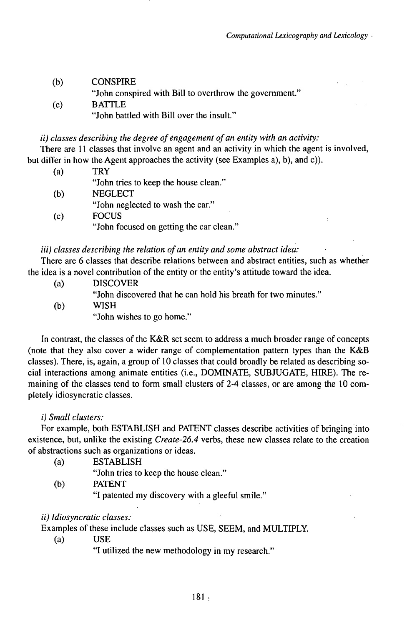| (b) | <b>CONSPIRE</b>                                         |
|-----|---------------------------------------------------------|
|     | "John conspired with Bill to overthrow the government." |
| (c) | <b>BATTLE</b>                                           |

"John battled with Bill over the insult."

### *ii) classes describing the degree oféngagement ofan entity with an activity:*

There are <sup>11</sup> classes that involve an agent and an activity in which the agent is involved, but differ in how the Agent approaches the activity (see Examples a), b), and c)).

| (a) | TRY                                   |
|-----|---------------------------------------|
|     | "John tries to keep the house clean." |
| (b) | <b>NEGLECT</b>                        |
|     | "John neglected to wash the car."     |

(c) FOCUS "John focused on getting the car clean."

# *iii) classes describing the relation ofan entity and some abstract idea:*

There are 6 classes that describe relations between and abstract entities, such as whether the idea is a novel contribution of the entity or the entity's attitude toward the idea.

- (a) DISCOVER
	- "John discovered that he can hold his breath for two minutes."
- (b) WISH
	- "John wishes to go home."

In contrast, the classes of the K&R set seem to address a much broader range of concepts (note that they also cover a wider range of complementation pattern types than the K&B classes). There, is, again, a group of 10 classes that could broadly be related as describing social interactions among animate entities (i.e., DOMINATE, SUBJUGATE, HIRE). The remaining of the classes tend to form small clusters of 2-4 classes, or are among the 10 completely idiosyncratic classes.

### *i) Small clusters:*

For example, both ESTABLISH and PATENT classes describe activities of bringing into existence, but, unlike the existing *Create-26.4* verbs, these new classes relate to the creation of abstractions such as organizations or ideas.

(a) ESTABLISH

"John tries to keep the house clean."

- (b) PATENT
	- "I patented my discovery with a gleeful smile."

# *ii) Idiosyncratic classes:*

Examples of these include classes such as USE, SEEM, and MULTiPLY.

(a) USE

"I utilized the new methodology in my research."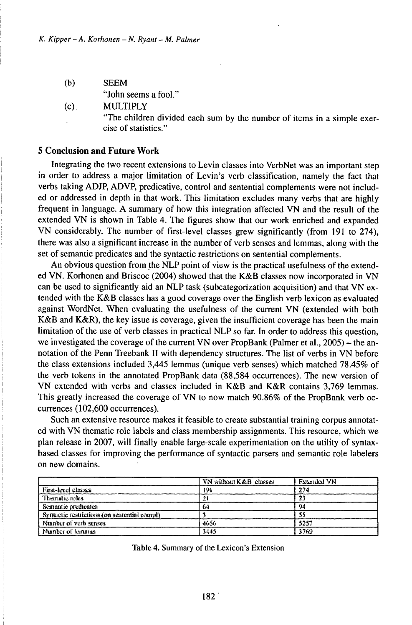- (b) SEEM "John seems a fool."
- (c). MULTIPLY "The children divided each sum by the number of items in a simple exercise of statistics."

#### **5 Conclusion and Future Work**

Integrating the two recent extensions to Levin classes into VerbNet was an important step in order to address a major limitation of Levin's verb classification, namely the fact that verbs taking ADJP, ADVP, predicative, control and sentential complements were not included or addressed in depth in that work. This limitation excludes many verbs that are highly frequent in language. A summary of how this integration affected VN and the result of the extended VN is shown in Table 4. The figures show that our work enriched and expanded VN considerably. The number of first-level classes grew significantly (from 191 to 274), there was also a significant increase in the number of verb senses and lemmas, along with the set of semantic predicates and the syntactic restrictions on sentential complements.

An obvious question from the NLP point of view is the practical usefulness of the extended VN. Korhonen and Briscoe (2004) showed that the K&B classes now incorporated in VN can be used to significantly aid an NLP task (subcategorization acquisition) and that VN extended with the K&B classes has a good coverage over the English verb lexicon as evaluated against WordNet. When evaluating the usefulness of the current VN (extended with both K&B and K&R), the key issue is coverage, given the insufficient coverage has been the main limitation of the use of verb classes in practical NLP so far. In order to address this question, we investigated the coverage of the current VN over PropBank (Palmer et al.,  $2005$ ) – the annotation of the Penn Treebank II with dependency structures. The list of verbs in VN before the class extensions included 3,445 lemmas (unique verb senses) which matched 78.45% of the verb tokens in the annotated PropBank data (88,584 occurrences). The new version of VN extended with verbs and classes included in K&B and K&R contains 3,769 lemmas. This greatly increased the coverage of VN to now match 90.86% of the PropBank verb occurrences (102,600 occurrences).

Such an extensive resource makes it feasible to create substantial training corpus annotated with VN thematic role labels and class membership assignments. This resource, which we plan release in 2007, will finally enable large-scale experimentation on the utility of syntaxbased classes for improving the performance of syntactic parsers and semantic role labelers on new domains.

|                                             | VN without K&B classes | <b>Extended VN</b> |
|---------------------------------------------|------------------------|--------------------|
| First-level classes                         | 191                    | 274                |
| Thematic roles                              |                        | 23                 |
| Semantic predicates                         | 6ú                     | 94                 |
| Symactic restrictions (on sentential compl) |                        |                    |
| Namber of verb senses                       | 4656                   | 5257               |
| Number of lemmas                            | 3445                   | 3769               |

Table 4. Summary of the Lexicon's Extension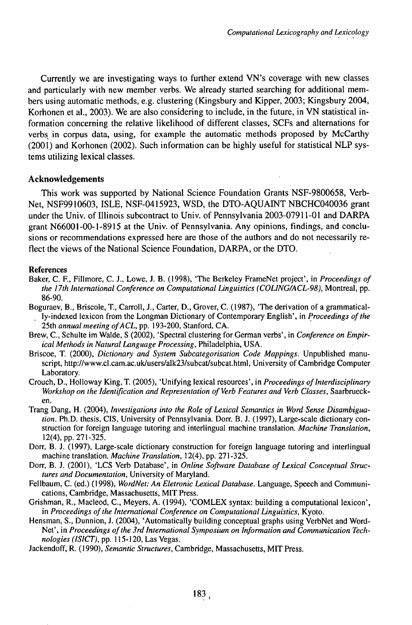Currently we are investigating ways to further extend VN's coverage with new classes and particularly with new member verbs. We already started searching for additional members using automatic methods, e.g. clustering (Kingsbury and Kipper, 2003; Kingsbury 2004, Korhonen et al., 2003). We are also considering to include, in the future, in VN statistical information concerning the relative likelihood of different classes, SCFs and alternations for verbs in corpus data, using, for example the automatic methods proposed by McCarthy (2001) and Korhonen (2002). Such information can be highly useful for statistical NLP systems utilizing lexical classes.

# **Acknowledgements**

This work was supported by National Science Foundation Grants NSF-9800658, Verb-Net, NSF9910603, ISLE, NSF-0415923, WSD, the DTO-AQUAľNT NBCHC040036 grant under the Univ. of Illinois subcontract to Univ. of Pennsylvania 2003-07911-01 and DARPA grant N66001-00-1-8915 at the Univ. of Pennsylvania. Any opinions, findings, and conclusions or recommendations expressed here are those of the authors and do not necessarily reflect the views of the National Science Foundation, DARPA, or the DTO.

# References

- Baker, C. F., Fillmore, C. J., Lowe, J. B. (1998), 'The Berkeley FrameNet project', in *Proceedings of the 17th International Conference on Computational Linguistics (COLlNG/ACL-98),* Montreal, pp. 86-90.
- Boguraev, B., Briscole, T., Carroll, J., Carter, D., Grover, C. (1987), 'The derivation of a grammatically-indexed lexicon from the Longman Dictionary of Contemporary English', in *Proceedings ofthe* 25th *annual meeting ofACL,* pp. 193-200, Stanford, CA.
- Brew, C., Schulte im Walde, S (2002), 'Spectral clustering for German verbs', in *Conference on Empirical Methods in Natural Language Processing,* Philadelphia, USA.
- Briscoe, T. (2000), *Dictionary and System Subcategorisation Code Mappings.* Unpublished manuscript, http://www.cl.cam.ac.uk/users/alk23/subcat/subcat.html, University of Cambridge Computer Laboratory.
- Crouch, D., Holloway King, T. (2005), 'Unifying lexical resources', in *Proceedings of Interdisciplinary Workshop on the Identification and Representation of Verb Features and Verb Classes,* Saarbruecken.
- Trang Dang, H. (2004), *Investigations into the Role ofLexical Semantics in Word Sense Disambiguation*. Ph.D. thesis, CIS, University of Pennsylvania. Dorr. B. J. (1997), Large-scale dictionary construction for foreign language tutoring and interlingual machine translation. *Machine Translation,* 12(4),pp.271-325.
- Dorr, B. J. (1997), Large-scale dictionary construction for foreign language tutoring and interlingual machine translation. *Machine Translation,* 12(4), pp. 271-325.
- Dorr, B. J. (2001), 'LCS Verb Database', in *Online Software Database ofLexical Conceptual Structures and Documentation,* University of Maryland.
- Fellbaum, C. (ed.) (1998), *WordNet: An Eletronic Lexical Database.* Language, Speech and Communications, Cambridge, Massachusetts, MIT Press.
- Grishman, R., Macleod, C., Meyers, A. (1994), 'COMLEX syntax: building a computational lexicon', in *Proceedings ofthe International Conference on Computational Linguistics,* Kyoto.
- Hensman, S., Dunnion, J. (2004), 'Automatically building conceptual graphs using VerbNet and Word-Net', in *Proceedings ofthe 3rdInternationalSymposium on Information and Communication Technologies (ISICT),* pp. 115-120, Las Vegas.
- Jackendoff, R. (1990), *Semantic Structures,* Cambridge, Massachusetts, MlT Press.